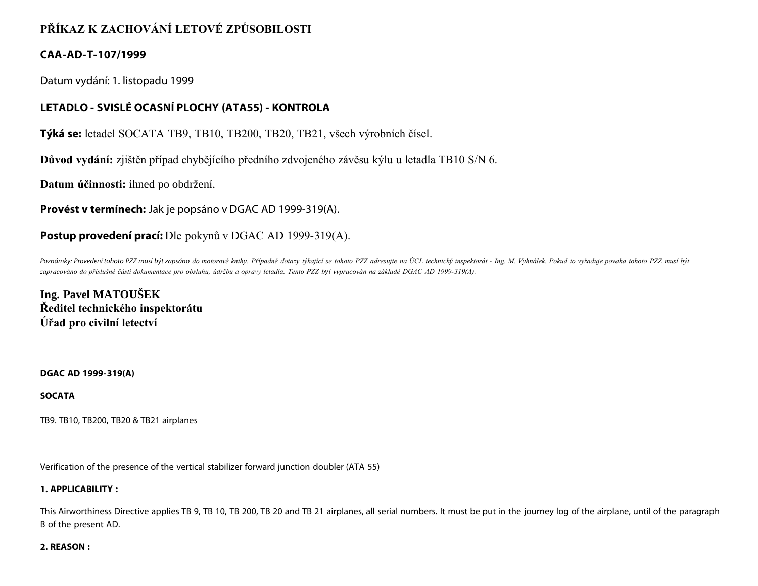# **PŘÍKAZ K ZACHOVÁNÍ LETOVÉ ZPŮSOBILOSTI**

# **CAA-AD-T-107/1999**

Datum vydání: 1. listopadu 1999

# **LETADLO - SVISLÉ OCASNÍ PLOCHY (ATA55) - KONTROLA**

**Týká se:** letadel SOCATA TB9, TB10, TB200, TB20, TB21, všech výrobních čísel.

**Důvod vydání:** zjištěn případ chybějícího předního zdvojeného závěsu kýlu u letadla TB10 S/N 6.

**Datum účinnosti:** ihned po obdržení.

**Provést v termínech:** Jak je popsáno v DGAC AD 1999-319(A).

# **Postup provedení prací:** Dle pokynů v DGAC AD 1999-319(A).

*Poznámky: Provedení tohoto PZZ musí být zapsáno do motorové knihy. Případné dotazy týkající se tohoto PZZ adresujte na ÚCL technický inspektorát - Ing. M. Vyhnálek. Pokud to vyžaduje povaha tohoto PZZ musí být zapracováno do příslušné části dokumentace pro obsluhu, údržbu a opravy letadla. Tento PZZ byl vypracován na základě DGAC AD 1999-319(A).*

**Ing. Pavel MATOUŠEK Ředitel technického inspektorátu Úřad pro civilní letectví**

### **DGAC AD 1999-319(A)**

## **SOCATA**

TB9. TB10, TB200, TB20 & TB21 airplanes

Verification of the presence of the vertical stabilizer forward junction doubler (ATA 55)

## **1. APPLICABILITY :**

This Airworthiness Directive applies TB 9, TB 10, TB 200, TB 20 and TB 21 airplanes, all serial numbers. It must be put in the journey log of the airplane, until of the paragraph B of the present AD.

### **2. REASON :**